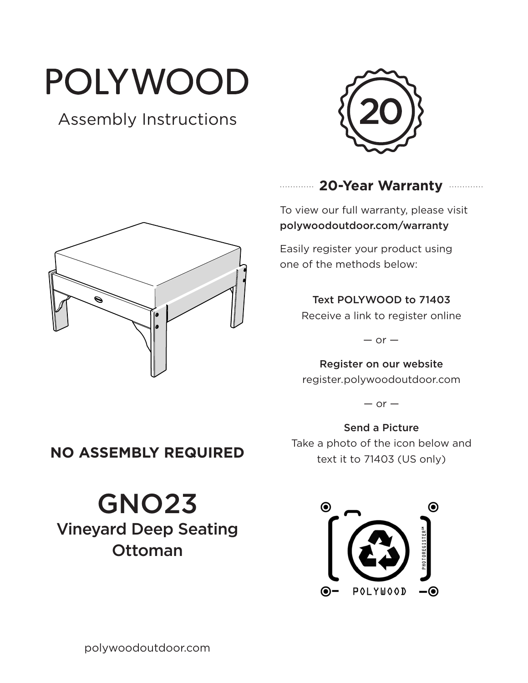# POLYWOOD

# Assembly Instructions





## **20-Year Warranty**

To view our full warranty, please visit polywoodoutdoor.com/warranty

Easily register your product using one of the methods below:

#### Text POLYWOOD to 71403

Receive a link to register online

 $-$  or  $-$ 

Register on our website register.polywoodoutdoor.com

 $-$  or  $-$ 

Send a Picture Take a photo of the icon below and text it to 71403 (US only)



# **NO ASSEMBLY REQUIRED**

GNO23 Vineyard Deep Seating Ottoman